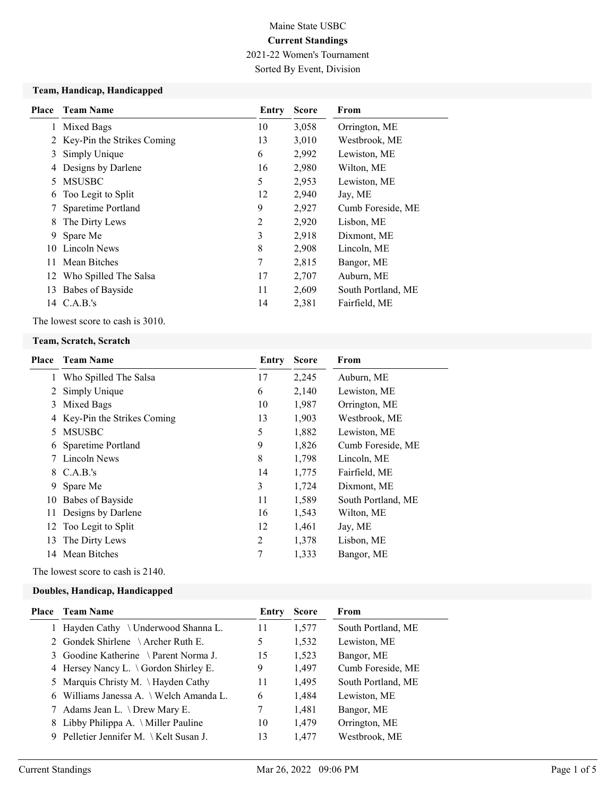2021-22 Women's Tournament

Sorted By Event, Division

#### Team, Handicap, Handicapped

| Place | <b>Team Name</b>           | Entry          | <b>Score</b> | From               |
|-------|----------------------------|----------------|--------------|--------------------|
| 1     | Mixed Bags                 | 10             | 3,058        | Orrington, ME      |
| 2     | Key-Pin the Strikes Coming | 13             | 3,010        | Westbrook, ME      |
| 3     | Simply Unique              | 6              | 2,992        | Lewiston, ME       |
| 4     | Designs by Darlene         | 16             | 2,980        | Wilton, ME         |
| 5.    | <b>MSUSBC</b>              | 5              | 2,953        | Lewiston, ME       |
| 6     | Too Legit to Split         | 12             | 2,940        | Jay, ME            |
|       | Sparetime Portland         | 9              | 2,927        | Cumb Foreside, ME  |
| 8     | The Dirty Lews             | $\overline{2}$ | 2,920        | Lisbon, ME         |
| 9     | Spare Me                   | 3              | 2,918        | Dixmont, ME        |
| 10    | Lincoln News               | 8              | 2,908        | Lincoln, ME        |
| 11    | Mean Bitches               | 7              | 2,815        | Bangor, ME         |
|       | 12 Who Spilled The Salsa   | 17             | 2,707        | Auburn, ME         |
| 13    | Babes of Bayside           | 11             | 2,609        | South Portland, ME |
| 14    | C.A.B.'s                   | 14             | 2,381        | Fairfield, ME      |
|       |                            |                |              |                    |

The lowest score to cash is 3010.

#### Team, Scratch, Scratch

| Place | <b>Team Name</b>           | Entry | <b>Score</b> | From               |
|-------|----------------------------|-------|--------------|--------------------|
|       | 1 Who Spilled The Salsa    | 17    | 2,245        | Auburn, ME         |
| 2     | Simply Unique              | 6     | 2,140        | Lewiston, ME       |
| 3     | Mixed Bags                 | 10    | 1,987        | Orrington, ME      |
| 4     | Key-Pin the Strikes Coming | 13    | 1,903        | Westbrook, ME      |
| 5.    | <b>MSUSBC</b>              | 5     | 1,882        | Lewiston, ME       |
| 6     | Sparetime Portland         | 9     | 1,826        | Cumb Foreside, ME  |
|       | 7 Lincoln News             | 8     | 1,798        | Lincoln, ME        |
| 8     | C.A.B.'s                   | 14    | 1,775        | Fairfield, ME      |
| 9     | Spare Me                   | 3     | 1,724        | Dixmont, ME        |
| 10    | Babes of Bayside           | 11    | 1,589        | South Portland, ME |
|       | 11 Designs by Darlene      | 16    | 1,543        | Wilton, ME         |
| 12    | Too Legit to Split         | 12    | 1,461        | Jay, ME            |
| 13    | The Dirty Lews             | 2     | 1,378        | Lisbon, ME         |
| 14    | Mean Bitches               | 7     | 1,333        | Bangor, ME         |
|       |                            |       |              |                    |

The lowest score to cash is 2140.

## Doubles, Handicap, Handicapped

| Place | Team Name                                    | Entry | <b>Score</b> | From               |
|-------|----------------------------------------------|-------|--------------|--------------------|
|       | Hayden Cathy $\setminus$ Underwood Shanna L. | 11    | 1,577        | South Portland, ME |
|       | 2 Gondek Shirlene \ Archer Ruth E.           | 5     | 1,532        | Lewiston, ME       |
|       | 3 Goodine Katherine \ Parent Norma J.        | 15    | 1,523        | Bangor, ME         |
|       | 4 Hersey Nancy L. \ Gordon Shirley E.        | 9     | 1,497        | Cumb Foreside, ME  |
|       | 5 Marquis Christy M. \ Hayden Cathy          | 11    | 1,495        | South Portland, ME |
|       | 6 Williams Janessa A. \ Welch Amanda L.      | 6     | 1,484        | Lewiston, ME       |
|       | 7 Adams Jean L. \ Drew Mary E.               | 7     | 1,481        | Bangor, ME         |
|       | 8 Libby Philippa A. \ Miller Pauline         | 10    | 1,479        | Orrington, ME      |
|       | 9 Pelletier Jennifer M. \ Kelt Susan J.      | 13    | 1,477        | Westbrook, ME      |
|       |                                              |       |              |                    |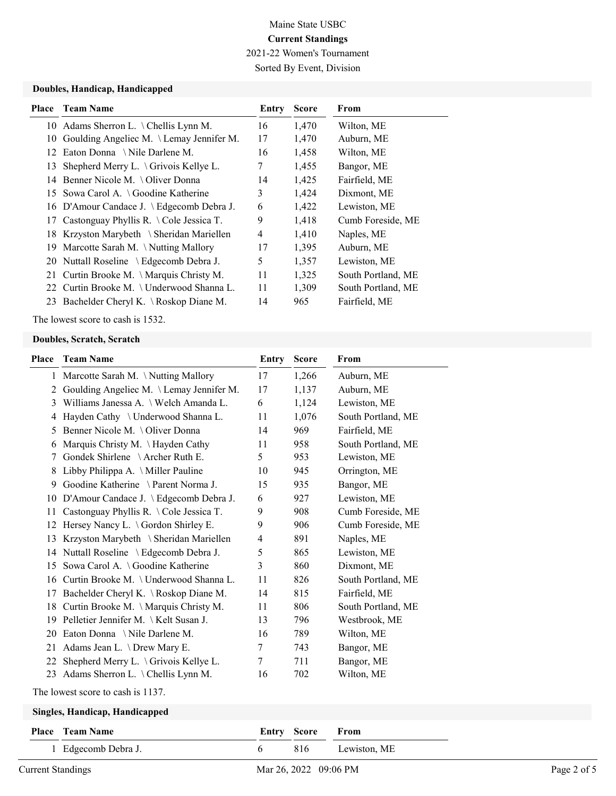2021-22 Women's Tournament

Sorted By Event, Division

### Doubles, Handicap, Handicapped

| Place | <b>Team Name</b>                               | Entry          | <b>Score</b> | From               |
|-------|------------------------------------------------|----------------|--------------|--------------------|
|       | 10 Adams Sherron L. \Chellis Lynn M.           | 16             | 1,470        | Wilton, ME         |
|       | 10 Goulding Angeliec M. \ Lemay Jennifer M.    | 17             | 1,470        | Auburn, ME         |
| 12.   | Eaton Donna \Nile Darlene M.                   | 16             | 1,458        | Wilton, ME         |
|       | 13 Shepherd Merry L. \Grivois Kellye L.        | 7              | 1,455        | Bangor, ME         |
| 14    | Benner Nicole M. \ Oliver Donna                | 14             | 1,425        | Fairfield, ME      |
|       | 15 Sowa Carol A. $\setminus$ Goodine Katherine | 3              | 1,424        | Dixmont, ME        |
|       | 16 D'Amour Candace J. \ Edgecomb Debra J.      | 6              | 1,422        | Lewiston, ME       |
|       | 17 Castonguay Phyllis R. \ Cole Jessica T.     | 9              | 1,418        | Cumb Foreside, ME  |
| 18    | Krzyston Marybeth ∖Sheridan Mariellen          | $\overline{4}$ | 1,410        | Naples, ME         |
| 19    | Marcotte Sarah M. $\backslash$ Nutting Mallory | 17             | 1,395        | Auburn, ME         |
|       | 20 Nuttall Roseline \ Edgecomb Debra J.        | 5              | 1,357        | Lewiston, ME       |
|       | 21 Curtin Brooke M. \Marquis Christy M.        | 11             | 1,325        | South Portland, ME |
|       | 22 Curtin Brooke M. \Underwood Shanna L.       | 11             | 1,309        | South Portland, ME |
|       | 23 Bachelder Cheryl K. \Roskop Diane M.        | 14             | 965          | Fairfield, ME      |

The lowest score to cash is 1532.

## Doubles, Scratch, Scratch

| Place | <b>Team Name</b>                             | Entry          | <b>Score</b> | From               |
|-------|----------------------------------------------|----------------|--------------|--------------------|
|       | Marcotte Sarah M. \Nutting Mallory<br>1      | 17             | 1,266        | Auburn, ME         |
|       | Goulding Angeliec M. \Lemay Jennifer M.<br>2 | 17             | 1,137        | Auburn, ME         |
|       | Williams Janessa A. \ Welch Amanda L.<br>3   | 6              | 1,124        | Lewiston, ME       |
|       | Hayden Cathy \ Underwood Shanna L.<br>4      | 11             | 1,076        | South Portland, ME |
|       | Benner Nicole M. \Oliver Donna<br>5          | 14             | 969          | Fairfield, ME      |
|       | Marquis Christy M. \Hayden Cathy<br>6        | 11             | 958          | South Portland, ME |
|       | Gondek Shirlene \ Archer Ruth E.<br>7        | 5              | 953          | Lewiston, ME       |
|       | Libby Philippa A. \ Miller Pauline<br>8      | 10             | 945          | Orrington, ME      |
|       | Goodine Katherine \ Parent Norma J.<br>9     | 15             | 935          | Bangor, ME         |
| 10    | D'Amour Candace J. \ Edgecomb Debra J.       | 6              | 927          | Lewiston, ME       |
| 11    | Castonguay Phyllis R. \Cole Jessica T.       | 9              | 908          | Cumb Foreside, ME  |
| 12    | Hersey Nancy L. \ Gordon Shirley E.          | 9              | 906          | Cumb Foreside, ME  |
| 13    | Krzyston Marybeth \ Sheridan Mariellen       | $\overline{4}$ | 891          | Naples, ME         |
| 14    | Nuttall Roseline \ Edgecomb Debra J.         | 5              | 865          | Lewiston, ME       |
| 15    | Sowa Carol A. \Goodine Katherine             | 3              | 860          | Dixmont, ME        |
| 16    | Curtin Brooke M. \ Underwood Shanna L.       | 11             | 826          | South Portland, ME |
| 17    | Bachelder Cheryl K. \Roskop Diane M.         | 14             | 815          | Fairfield, ME      |
| 18    | Curtin Brooke M. \ Marquis Christy M.        | 11             | 806          | South Portland, ME |
| 19    | Pelletier Jennifer M. \Kelt Susan J.         | 13             | 796          | Westbrook, ME      |
| 20    | Eaton Donna \Nile Darlene M.                 | 16             | 789          | Wilton, ME         |
| 21    | Adams Jean L. \ Drew Mary E.                 | 7              | 743          | Bangor, ME         |
| 22    | Shepherd Merry L. \ Grivois Kellye L.        | 7              | 711          | Bangor, ME         |
| 23    | Adams Sherron L. \ Chellis Lynn M.           | 16             | 702          | Wilton, ME         |
|       | .                                            |                |              |                    |

The lowest score to cash is 1137.

#### Singles, Handicap, Handicapped

| <b>Place</b> Team Name | <b>Entry Score From</b> |                  |
|------------------------|-------------------------|------------------|
| 1 Edgecomb Debra J.    |                         | 816 Lewiston, ME |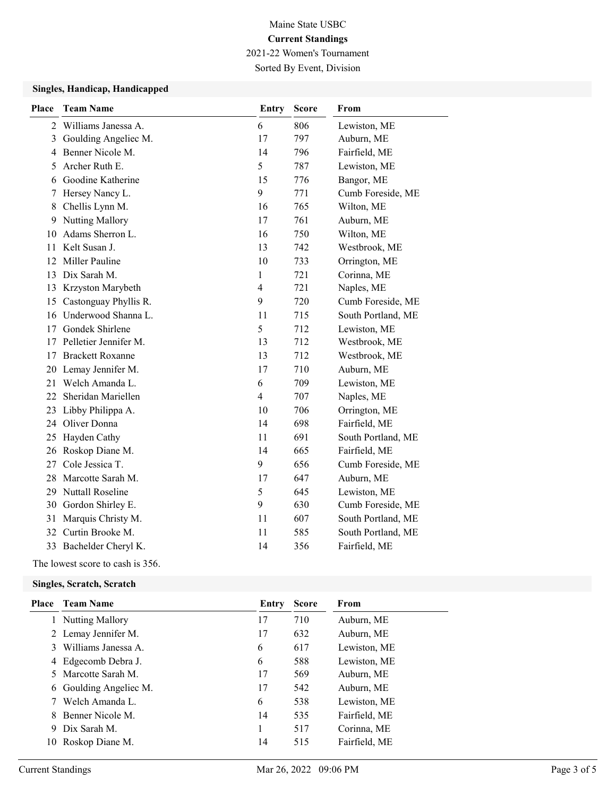2021-22 Women's Tournament

Sorted By Event, Division

### Singles, Handicap, Handicapped

| <b>Team Name</b>        | <b>Entry</b>                                                                          | <b>Score</b> | From               |
|-------------------------|---------------------------------------------------------------------------------------|--------------|--------------------|
| Williams Janessa A.     | 6                                                                                     | 806          | Lewiston, ME       |
| Goulding Angeliec M.    | 17                                                                                    | 797          | Auburn, ME         |
| Benner Nicole M.        | 14                                                                                    | 796          | Fairfield, ME      |
| Archer Ruth E.          | 5                                                                                     | 787          | Lewiston, ME       |
| Goodine Katherine       | 15                                                                                    | 776          | Bangor, ME         |
| Hersey Nancy L.         | 9                                                                                     | 771          | Cumb Foreside, ME  |
| Chellis Lynn M.         | 16                                                                                    | 765          | Wilton, ME         |
| Nutting Mallory         | 17                                                                                    | 761          | Auburn, ME         |
| Adams Sherron L.        | 16                                                                                    | 750          | Wilton, ME         |
| Kelt Susan J.           | 13                                                                                    | 742          | Westbrook, ME      |
| Miller Pauline          | 10                                                                                    | 733          | Orrington, ME      |
| Dix Sarah M.            | $\mathbf{1}$                                                                          | 721          | Corinna, ME        |
|                         | $\overline{\mathcal{A}}$                                                              | 721          | Naples, ME         |
| Castonguay Phyllis R.   | 9                                                                                     | 720          | Cumb Foreside, ME  |
| Underwood Shanna L.     | 11                                                                                    | 715          | South Portland, ME |
| Gondek Shirlene         | 5                                                                                     | 712          | Lewiston, ME       |
| Pelletier Jennifer M.   | 13                                                                                    | 712          | Westbrook, ME      |
| <b>Brackett Roxanne</b> | 13                                                                                    | 712          | Westbrook, ME      |
|                         | 17                                                                                    | 710          | Auburn, ME         |
| Welch Amanda L.         | 6                                                                                     | 709          | Lewiston, ME       |
| Sheridan Mariellen      | 4                                                                                     | 707          | Naples, ME         |
|                         | 10                                                                                    | 706          | Orrington, ME      |
| Oliver Donna            | 14                                                                                    | 698          | Fairfield, ME      |
| Hayden Cathy            | 11                                                                                    | 691          | South Portland, ME |
| Roskop Diane M.         | 14                                                                                    | 665          | Fairfield, ME      |
| Cole Jessica T.         | 9                                                                                     | 656          | Cumb Foreside, ME  |
| Marcotte Sarah M.       | 17                                                                                    | 647          | Auburn, ME         |
| <b>Nuttall Roseline</b> | 5                                                                                     | 645          | Lewiston, ME       |
| Gordon Shirley E.       | 9                                                                                     | 630          | Cumb Foreside, ME  |
| Marquis Christy M.      | 11                                                                                    | 607          | South Portland, ME |
| Curtin Brooke M.        | 11                                                                                    | 585          | South Portland, ME |
|                         | 14                                                                                    | 356          | Fairfield, ME      |
|                         | Krzyston Marybeth<br>Lemay Jennifer M.<br>Libby Philippa A.<br>33 Bachelder Cheryl K. |              |                    |

The lowest score to cash is 356.

#### Singles, Scratch, Scratch

|   | <b>Place</b> Team Name | Entry | <b>Score</b> | From          |
|---|------------------------|-------|--------------|---------------|
|   | <b>Nutting Mallory</b> | 17    | 710          | Auburn, ME    |
|   | 2 Lemay Jennifer M.    | 17    | 632          | Auburn, ME    |
|   | Williams Janessa A.    | 6     | 617          | Lewiston, ME  |
| 4 | Edgecomb Debra J.      | 6     | 588          | Lewiston, ME  |
|   | 5 Marcotte Sarah M.    | 17    | 569          | Auburn, ME    |
|   | 6 Goulding Angeliec M. | 17    | 542          | Auburn, ME    |
|   | Welch Amanda L.        | 6     | 538          | Lewiston, ME  |
|   | Benner Nicole M.       | 14    | 535          | Fairfield, ME |
| 9 | Dix Sarah M.           |       | 517          | Corinna, ME   |
|   | 10 Roskop Diane M.     | 14    | 515          | Fairfield, ME |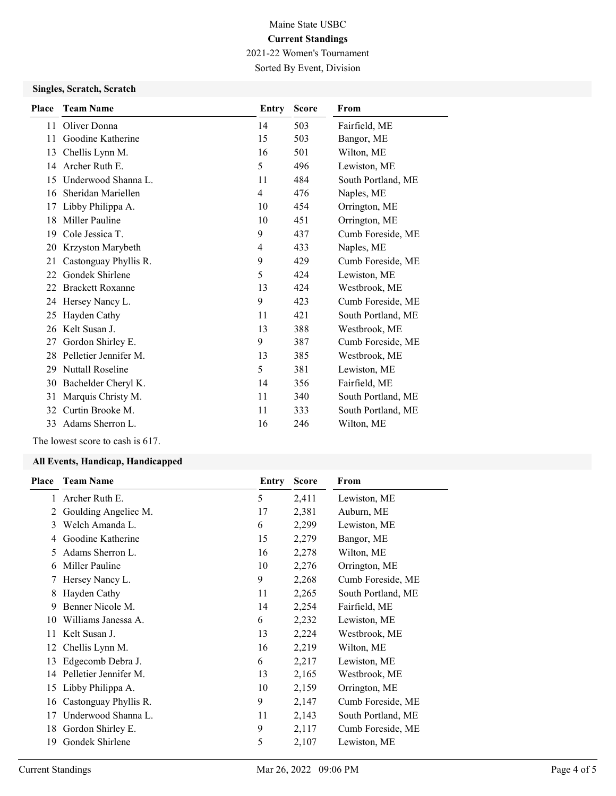2021-22 Women's Tournament

Sorted By Event, Division

## Singles, Scratch, Scratch

| <b>Place</b> | <b>Team Name</b>        | Entry          | <b>Score</b> | From               |
|--------------|-------------------------|----------------|--------------|--------------------|
| 11           | Oliver Donna            | 14             | 503          | Fairfield, ME      |
| 11           | Goodine Katherine       | 15             | 503          | Bangor, ME         |
| 13           | Chellis Lynn M.         | 16             | 501          | Wilton, ME         |
| 14           | Archer Ruth E.          | 5              | 496          | Lewiston, ME       |
| 15           | Underwood Shanna L.     | 11             | 484          | South Portland, ME |
| 16           | Sheridan Mariellen      | $\overline{4}$ | 476          | Naples, ME         |
| 17           | Libby Philippa A.       | 10             | 454          | Orrington, ME      |
| 18           | Miller Pauline          | 10             | 451          | Orrington, ME      |
| 19           | Cole Jessica T.         | 9              | 437          | Cumb Foreside, ME  |
| 20           | Krzyston Marybeth       | $\overline{4}$ | 433          | Naples, ME         |
| 21           | Castonguay Phyllis R.   | 9              | 429          | Cumb Foreside, ME  |
| 22           | Gondek Shirlene         | 5              | 424          | Lewiston, ME       |
| 22           | <b>Brackett Roxanne</b> | 13             | 424          | Westbrook, ME      |
| 24           | Hersey Nancy L.         | 9              | 423          | Cumb Foreside, ME  |
| 25           | Hayden Cathy            | 11             | 421          | South Portland, ME |
| 26           | Kelt Susan J.           | 13             | 388          | Westbrook, ME      |
| 27           | Gordon Shirley E.       | 9              | 387          | Cumb Foreside, ME  |
| 28           | Pelletier Jennifer M.   | 13             | 385          | Westbrook, ME      |
| 29           | <b>Nuttall Roseline</b> | 5              | 381          | Lewiston, ME       |
| 30           | Bachelder Cheryl K.     | 14             | 356          | Fairfield, ME      |
| 31           | Marquis Christy M.      | 11             | 340          | South Portland, ME |
| 32           | Curtin Brooke M.        | 11             | 333          | South Portland, ME |
| 33           | Adams Sherron L.        | 16             | 246          | Wilton, ME         |

The lowest score to cash is 617.

#### All Events, Handicap, Handicapped

| <b>Place</b> | <b>Team Name</b>      | Entry | <b>Score</b> | From               |
|--------------|-----------------------|-------|--------------|--------------------|
| 1            | Archer Ruth E.        | 5     | 2,411        | Lewiston, ME       |
| 2            | Goulding Angeliec M.  | 17    | 2,381        | Auburn, ME         |
| 3            | Welch Amanda L.       | 6     | 2,299        | Lewiston, ME       |
| 4            | Goodine Katherine     | 15    | 2,279        | Bangor, ME         |
| 5.           | Adams Sherron L.      | 16    | 2,278        | Wilton, ME         |
| 6            | Miller Pauline        | 10    | 2,276        | Orrington, ME      |
| 7            | Hersey Nancy L.       | 9     | 2,268        | Cumb Foreside, ME  |
| 8            | Hayden Cathy          | 11    | 2,265        | South Portland, ME |
| 9            | Benner Nicole M.      | 14    | 2,254        | Fairfield, ME      |
| 10           | Williams Janessa A.   | 6     | 2,232        | Lewiston, ME       |
| 11           | Kelt Susan J.         | 13    | 2,224        | Westbrook, ME      |
| 12           | Chellis Lynn M.       | 16    | 2,219        | Wilton, ME         |
| 13           | Edgecomb Debra J.     | 6     | 2,217        | Lewiston, ME       |
| 14           | Pelletier Jennifer M. | 13    | 2,165        | Westbrook, ME      |
|              | 15 Libby Philippa A.  | 10    | 2,159        | Orrington, ME      |
| 16           | Castonguay Phyllis R. | 9     | 2,147        | Cumb Foreside, ME  |
| 17           | Underwood Shanna L.   | 11    | 2,143        | South Portland, ME |
| 18           | Gordon Shirley E.     | 9     | 2,117        | Cumb Foreside, ME  |
| 19           | Gondek Shirlene       | 5     | 2,107        | Lewiston, ME       |